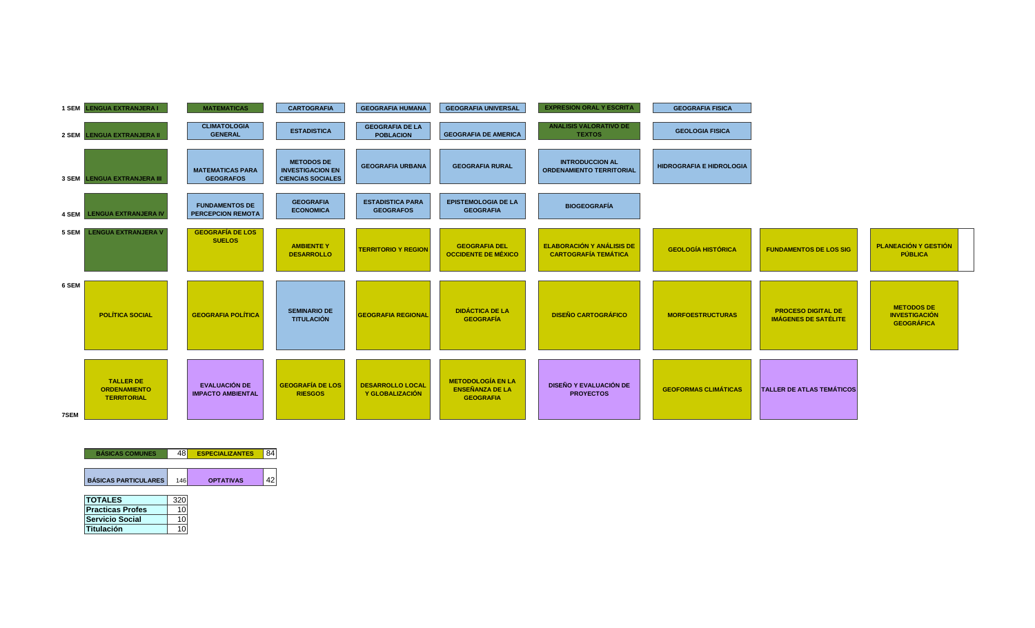

| <b>BÁSICAS COMUNES</b>      | 48  | <b>ESPECIALIZANTES</b> |  |
|-----------------------------|-----|------------------------|--|
| <b>BÁSICAS PARTICULARES</b> | 146 | <b>OPTATIVAS</b>       |  |
| <b>TOTALES</b>              |     |                        |  |
| <b>Practicas Profes</b>     |     |                        |  |
| <b>Servicio Social</b>      |     |                        |  |

**Titulación** 10